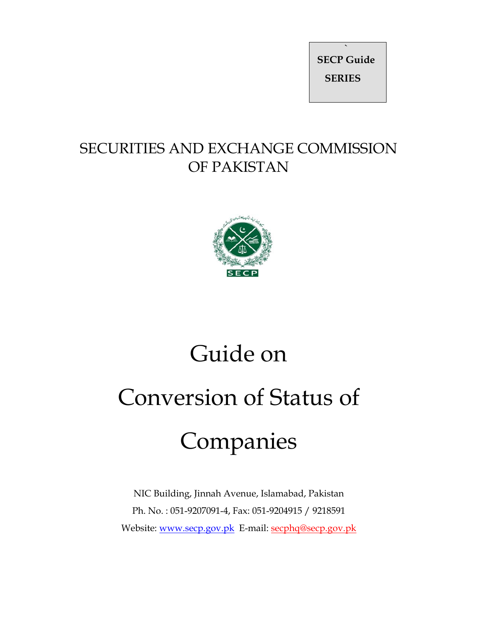**` SECP Guide SERIES** 

# SECURITIES AND EXCHANGE COMMISSION OF PAKISTAN



# Guide on Conversion of Status of Companies

NIC Building, Jinnah Avenue, Islamabad, Pakistan Ph. No. : 051-9207091-4, Fax: 051-9204915 / 9218591 Website: www.secp.gov.pk E-mail: secphq@secp.gov.pk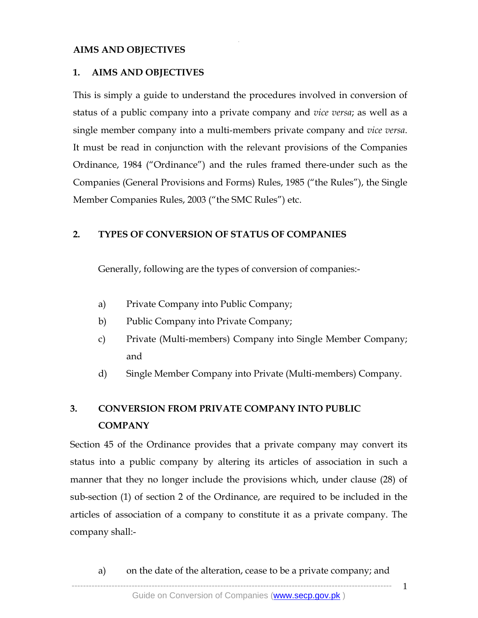#### **AIMS AND OBJECTIVES**

#### **1. AIMS AND OBJECTIVES**

This is simply a guide to understand the procedures involved in conversion of status of a public company into a private company and *vice versa*; as well as a single member company into a multi-members private company and *vice versa*. It must be read in conjunction with the relevant provisions of the Companies Ordinance, 1984 ("Ordinance") and the rules framed there-under such as the Companies (General Provisions and Forms) Rules, 1985 ("the Rules"), the Single Member Companies Rules, 2003 ("the SMC Rules") etc.

.

#### **2. TYPES OF CONVERSION OF STATUS OF COMPANIES**

Generally, following are the types of conversion of companies:-

- a) Private Company into Public Company;
- b) Public Company into Private Company;
- c) Private (Multi-members) Company into Single Member Company; and
- d) Single Member Company into Private (Multi-members) Company.

### **3. CONVERSION FROM PRIVATE COMPANY INTO PUBLIC COMPANY**

Section 45 of the Ordinance provides that a private company may convert its status into a public company by altering its articles of association in such a manner that they no longer include the provisions which, under clause (28) of sub-section (1) of section 2 of the Ordinance, are required to be included in the articles of association of a company to constitute it as a private company. The company shall:-

--------------------------------------------------------------------------------------------------------------- a) on the date of the alteration, cease to be a private company; and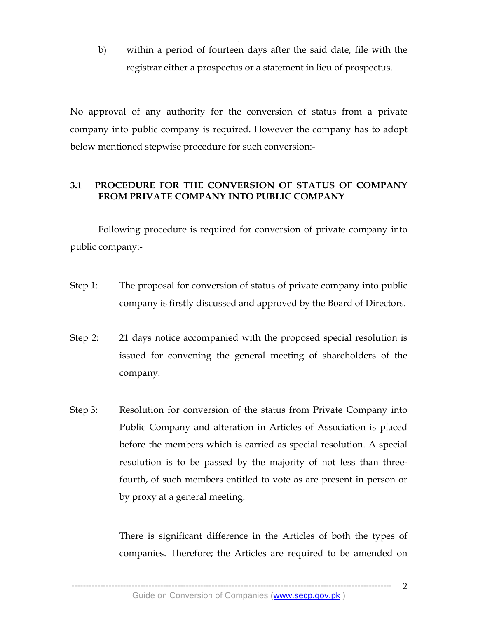b) within a period of fourteen days after the said date, file with the registrar either a prospectus or a statement in lieu of prospectus.

.

No approval of any authority for the conversion of status from a private company into public company is required. However the company has to adopt below mentioned stepwise procedure for such conversion:-

#### **3.1 PROCEDURE FOR THE CONVERSION OF STATUS OF COMPANY FROM PRIVATE COMPANY INTO PUBLIC COMPANY**

Following procedure is required for conversion of private company into public company:-

- Step 1: The proposal for conversion of status of private company into public company is firstly discussed and approved by the Board of Directors.
- Step 2: 21 days notice accompanied with the proposed special resolution is issued for convening the general meeting of shareholders of the company.
- Step 3: Resolution for conversion of the status from Private Company into Public Company and alteration in Articles of Association is placed before the members which is carried as special resolution. A special resolution is to be passed by the majority of not less than threefourth, of such members entitled to vote as are present in person or by proxy at a general meeting.

There is significant difference in the Articles of both the types of companies. Therefore; the Articles are required to be amended on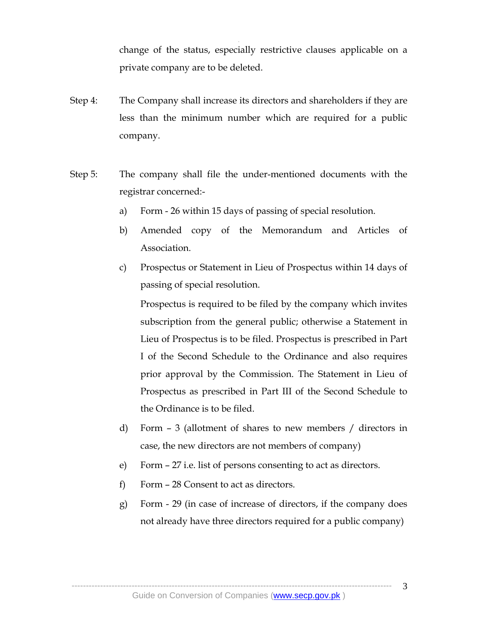change of the status, especially restrictive clauses applicable on a private company are to be deleted.

Step 4: The Company shall increase its directors and shareholders if they are less than the minimum number which are required for a public company.

.

- Step 5: The company shall file the under-mentioned documents with the registrar concerned:
	- a) Form 26 within 15 days of passing of special resolution.
	- b) Amended copy of the Memorandum and Articles of Association.
	- c) Prospectus or Statement in Lieu of Prospectus within 14 days of passing of special resolution.

Prospectus is required to be filed by the company which invites subscription from the general public; otherwise a Statement in Lieu of Prospectus is to be filed. Prospectus is prescribed in Part I of the Second Schedule to the Ordinance and also requires prior approval by the Commission. The Statement in Lieu of Prospectus as prescribed in Part III of the Second Schedule to the Ordinance is to be filed.

- d) Form 3 (allotment of shares to new members / directors in case, the new directors are not members of company)
- e) Form 27 i.e. list of persons consenting to act as directors.
- f) Form 28 Consent to act as directors.
- g) Form 29 (in case of increase of directors, if the company does not already have three directors required for a public company)

----------------------------------------------------------------------------------------------------------------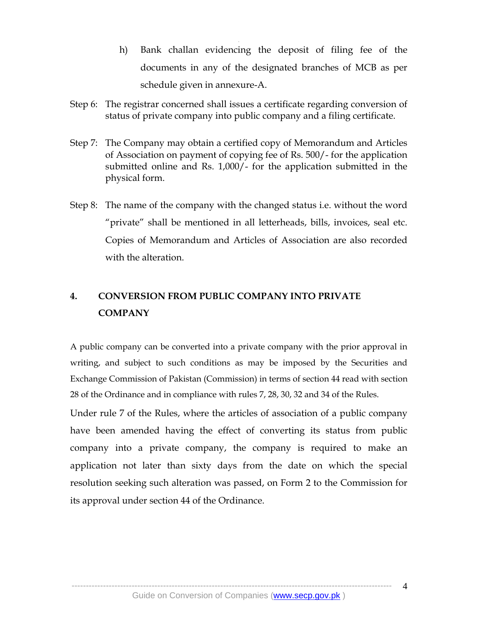- h) Bank challan evidencing the deposit of filing fee of the documents in any of the designated branches of MCB as per schedule given in annexure-A.
- Step 6: The registrar concerned shall issues a certificate regarding conversion of status of private company into public company and a filing certificate.

.

- Step 7: The Company may obtain a certified copy of Memorandum and Articles of Association on payment of copying fee of Rs. 500/- for the application submitted online and Rs. 1,000/- for the application submitted in the physical form.
- Step 8: The name of the company with the changed status i.e. without the word "private" shall be mentioned in all letterheads, bills, invoices, seal etc. Copies of Memorandum and Articles of Association are also recorded with the alteration.

## **4. CONVERSION FROM PUBLIC COMPANY INTO PRIVATE COMPANY**

A public company can be converted into a private company with the prior approval in writing, and subject to such conditions as may be imposed by the Securities and Exchange Commission of Pakistan (Commission) in terms of section 44 read with section 28 of the Ordinance and in compliance with rules 7, 28, 30, 32 and 34 of the Rules.

Under rule 7 of the Rules, where the articles of association of a public company have been amended having the effect of converting its status from public company into a private company, the company is required to make an application not later than sixty days from the date on which the special resolution seeking such alteration was passed, on Form 2 to the Commission for its approval under section 44 of the Ordinance.

----------------------------------------------------------------------------------------------------------------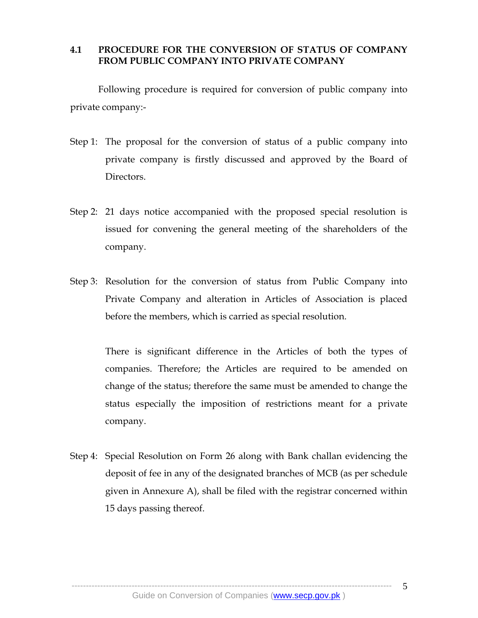#### . **4.1 PROCEDURE FOR THE CONVERSION OF STATUS OF COMPANY FROM PUBLIC COMPANY INTO PRIVATE COMPANY**

Following procedure is required for conversion of public company into private company:-

- Step 1: The proposal for the conversion of status of a public company into private company is firstly discussed and approved by the Board of Directors.
- Step 2: 21 days notice accompanied with the proposed special resolution is issued for convening the general meeting of the shareholders of the company.
- Step 3: Resolution for the conversion of status from Public Company into Private Company and alteration in Articles of Association is placed before the members, which is carried as special resolution.

There is significant difference in the Articles of both the types of companies. Therefore; the Articles are required to be amended on change of the status; therefore the same must be amended to change the status especially the imposition of restrictions meant for a private company.

Step 4: Special Resolution on Form 26 along with Bank challan evidencing the deposit of fee in any of the designated branches of MCB (as per schedule given in Annexure A), shall be filed with the registrar concerned within 15 days passing thereof.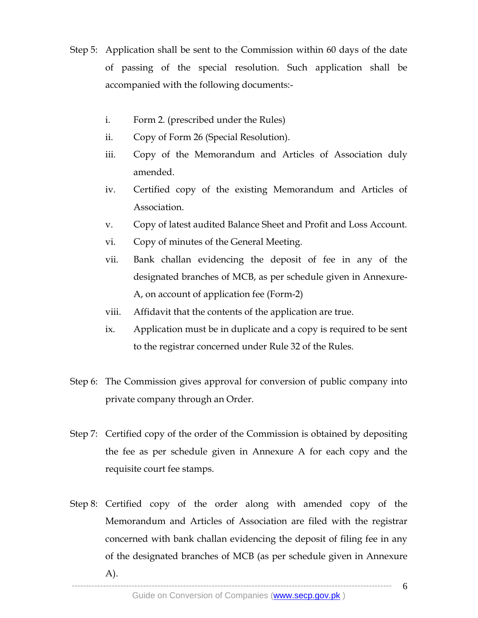Step 5: Application shall be sent to the Commission within 60 days of the date of passing of the special resolution. Such application shall be accompanied with the following documents:-

.

- i. Form 2. (prescribed under the Rules)
- ii. Copy of Form 26 (Special Resolution).
- iii. Copy of the Memorandum and Articles of Association duly amended.
- iv. Certified copy of the existing Memorandum and Articles of Association.
- v. Copy of latest audited Balance Sheet and Profit and Loss Account.
- vi. Copy of minutes of the General Meeting.
- vii. Bank challan evidencing the deposit of fee in any of the designated branches of MCB, as per schedule given in Annexure-A, on account of application fee (Form-2)
- viii. Affidavit that the contents of the application are true.
- ix. Application must be in duplicate and a copy is required to be sent to the registrar concerned under Rule 32 of the Rules.
- Step 6: The Commission gives approval for conversion of public company into private company through an Order.
- Step 7: Certified copy of the order of the Commission is obtained by depositing the fee as per schedule given in Annexure A for each copy and the requisite court fee stamps.
- Step 8: Certified copy of the order along with amended copy of the Memorandum and Articles of Association are filed with the registrar concerned with bank challan evidencing the deposit of filing fee in any of the designated branches of MCB (as per schedule given in Annexure A).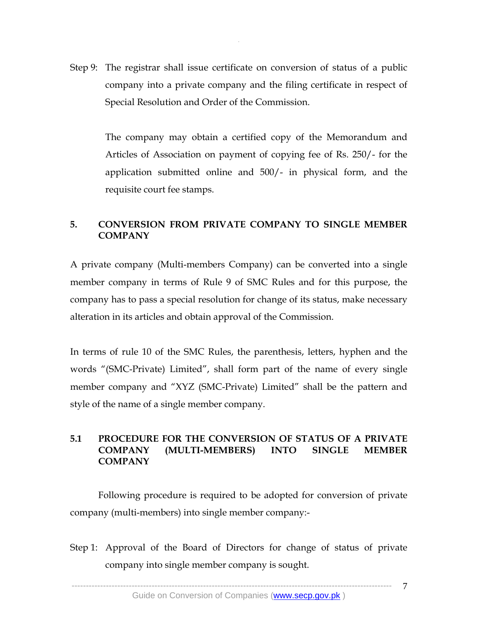Step 9: The registrar shall issue certificate on conversion of status of a public company into a private company and the filing certificate in respect of Special Resolution and Order of the Commission.

.

 The company may obtain a certified copy of the Memorandum and Articles of Association on payment of copying fee of Rs. 250/- for the application submitted online and 500/- in physical form, and the requisite court fee stamps.

#### **5. CONVERSION FROM PRIVATE COMPANY TO SINGLE MEMBER COMPANY**

A private company (Multi-members Company) can be converted into a single member company in terms of Rule 9 of SMC Rules and for this purpose, the company has to pass a special resolution for change of its status, make necessary alteration in its articles and obtain approval of the Commission.

In terms of rule 10 of the SMC Rules, the parenthesis, letters, hyphen and the words "(SMC-Private) Limited", shall form part of the name of every single member company and "XYZ (SMC-Private) Limited" shall be the pattern and style of the name of a single member company.

#### **5.1 PROCEDURE FOR THE CONVERSION OF STATUS OF A PRIVATE COMPANY (MULTI-MEMBERS) INTO SINGLE MEMBER COMPANY**

Following procedure is required to be adopted for conversion of private company (multi-members) into single member company:-

Step 1: Approval of the Board of Directors for change of status of private company into single member company is sought.

----------------------------------------------------------------------------------------------------------------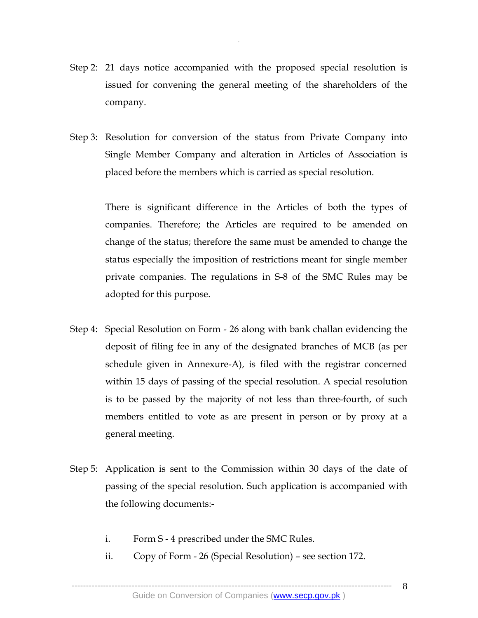Step 2: 21 days notice accompanied with the proposed special resolution is issued for convening the general meeting of the shareholders of the company.

.

Step 3: Resolution for conversion of the status from Private Company into Single Member Company and alteration in Articles of Association is placed before the members which is carried as special resolution.

> There is significant difference in the Articles of both the types of companies. Therefore; the Articles are required to be amended on change of the status; therefore the same must be amended to change the status especially the imposition of restrictions meant for single member private companies. The regulations in S-8 of the SMC Rules may be adopted for this purpose.

- Step 4: Special Resolution on Form 26 along with bank challan evidencing the deposit of filing fee in any of the designated branches of MCB (as per schedule given in Annexure-A), is filed with the registrar concerned within 15 days of passing of the special resolution. A special resolution is to be passed by the majority of not less than three-fourth, of such members entitled to vote as are present in person or by proxy at a general meeting.
- Step 5: Application is sent to the Commission within 30 days of the date of passing of the special resolution. Such application is accompanied with the following documents:
	- i. Form S 4 prescribed under the SMC Rules.
	- ii. Copy of Form 26 (Special Resolution) see section 172.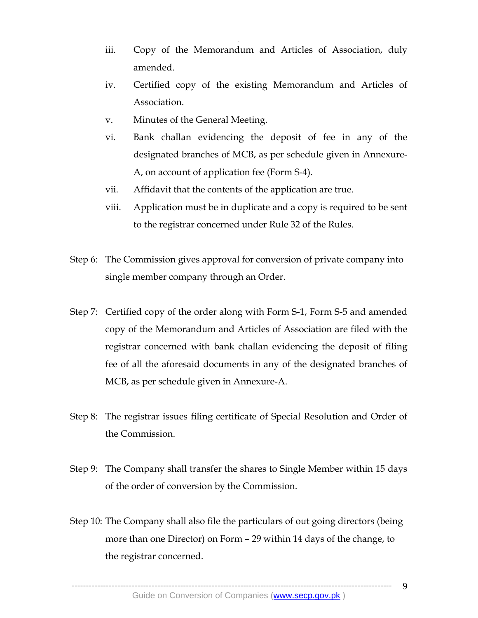iii. Copy of the Memorandum and Articles of Association, duly amended.

.

- iv. Certified copy of the existing Memorandum and Articles of Association.
- v. Minutes of the General Meeting.
- vi. Bank challan evidencing the deposit of fee in any of the designated branches of MCB, as per schedule given in Annexure-A, on account of application fee (Form S-4).
- vii. Affidavit that the contents of the application are true.
- viii. Application must be in duplicate and a copy is required to be sent to the registrar concerned under Rule 32 of the Rules.
- Step 6: The Commission gives approval for conversion of private company into single member company through an Order.
- Step 7: Certified copy of the order along with Form S-1, Form S-5 and amended copy of the Memorandum and Articles of Association are filed with the registrar concerned with bank challan evidencing the deposit of filing fee of all the aforesaid documents in any of the designated branches of MCB, as per schedule given in Annexure-A.
- Step 8: The registrar issues filing certificate of Special Resolution and Order of the Commission.
- Step 9: The Company shall transfer the shares to Single Member within 15 days of the order of conversion by the Commission.
- Step 10: The Company shall also file the particulars of out going directors (being more than one Director) on Form – 29 within 14 days of the change, to the registrar concerned.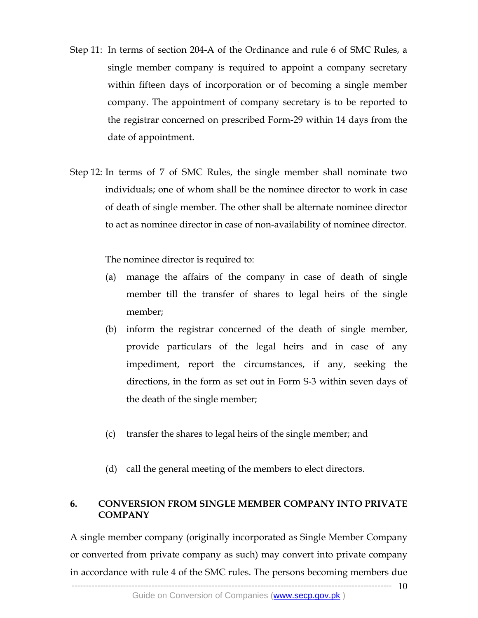Step 11: In terms of section 204-A of the Ordinance and rule 6 of SMC Rules, a single member company is required to appoint a company secretary within fifteen days of incorporation or of becoming a single member company. The appointment of company secretary is to be reported to the registrar concerned on prescribed Form-29 within 14 days from the date of appointment.

.

Step 12: In terms of 7 of SMC Rules, the single member shall nominate two individuals; one of whom shall be the nominee director to work in case of death of single member. The other shall be alternate nominee director to act as nominee director in case of non-availability of nominee director.

The nominee director is required to:

- (a) manage the affairs of the company in case of death of single member till the transfer of shares to legal heirs of the single member;
- (b) inform the registrar concerned of the death of single member, provide particulars of the legal heirs and in case of any impediment, report the circumstances, if any, seeking the directions, in the form as set out in Form S-3 within seven days of the death of the single member;
- (c) transfer the shares to legal heirs of the single member; and
- (d) call the general meeting of the members to elect directors.

#### **6. CONVERSION FROM SINGLE MEMBER COMPANY INTO PRIVATE COMPANY**

---------------------------------------------------------------------------------------------------------------- 10 A single member company (originally incorporated as Single Member Company or converted from private company as such) may convert into private company in accordance with rule 4 of the SMC rules. The persons becoming members due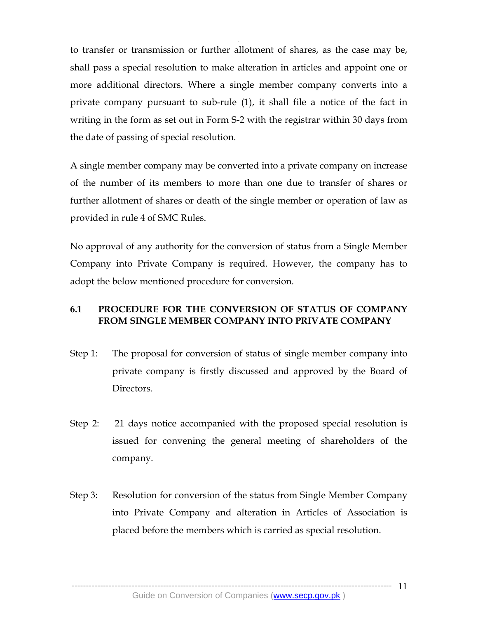to transfer or transmission or further allotment of shares, as the case may be, shall pass a special resolution to make alteration in articles and appoint one or more additional directors. Where a single member company converts into a private company pursuant to sub-rule (1), it shall file a notice of the fact in writing in the form as set out in Form S-2 with the registrar within 30 days from the date of passing of special resolution.

.

A single member company may be converted into a private company on increase of the number of its members to more than one due to transfer of shares or further allotment of shares or death of the single member or operation of law as provided in rule 4 of SMC Rules.

No approval of any authority for the conversion of status from a Single Member Company into Private Company is required. However, the company has to adopt the below mentioned procedure for conversion.

#### **6.1 PROCEDURE FOR THE CONVERSION OF STATUS OF COMPANY FROM SINGLE MEMBER COMPANY INTO PRIVATE COMPANY**

- Step 1: The proposal for conversion of status of single member company into private company is firstly discussed and approved by the Board of Directors.
- Step 2: 21 days notice accompanied with the proposed special resolution is issued for convening the general meeting of shareholders of the company.
- Step 3: Resolution for conversion of the status from Single Member Company into Private Company and alteration in Articles of Association is placed before the members which is carried as special resolution.

------------- 11

----------------------------------------------------------------------------------------------------------------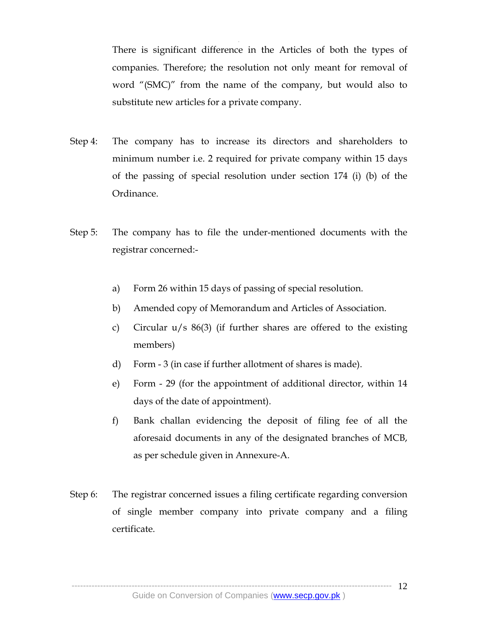There is significant difference in the Articles of both the types of companies. Therefore; the resolution not only meant for removal of word "(SMC)" from the name of the company, but would also to substitute new articles for a private company.

Step 4: The company has to increase its directors and shareholders to minimum number i.e. 2 required for private company within 15 days of the passing of special resolution under section 174 (i) (b) of the Ordinance.

.

- Step 5: The company has to file the under-mentioned documents with the registrar concerned:
	- a) Form 26 within 15 days of passing of special resolution.
	- b) Amended copy of Memorandum and Articles of Association.
	- c) Circular u/s 86(3) (if further shares are offered to the existing members)
	- d) Form 3 (in case if further allotment of shares is made).
	- e) Form 29 (for the appointment of additional director, within 14 days of the date of appointment).
	- f) Bank challan evidencing the deposit of filing fee of all the aforesaid documents in any of the designated branches of MCB, as per schedule given in Annexure-A.
- Step 6: The registrar concerned issues a filing certificate regarding conversion of single member company into private company and a filing certificate.

---------------------------------------------------------------------------------------------------------------- 12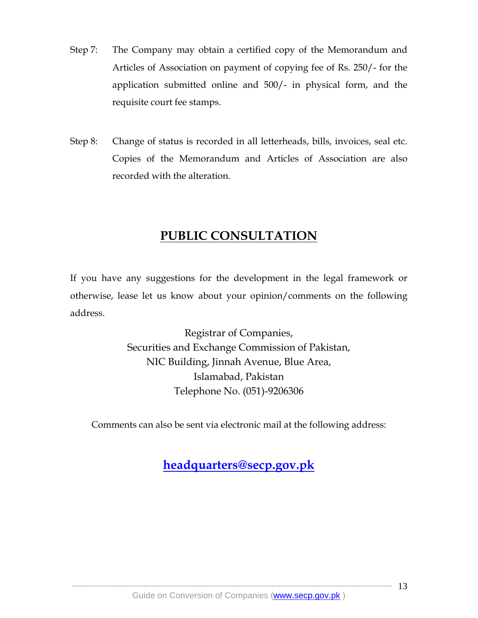Step 7: The Company may obtain a certified copy of the Memorandum and Articles of Association on payment of copying fee of Rs. 250/- for the application submitted online and 500/- in physical form, and the requisite court fee stamps.

.

Step 8: Change of status is recorded in all letterheads, bills, invoices, seal etc. Copies of the Memorandum and Articles of Association are also recorded with the alteration.

## **PUBLIC CONSULTATION**

If you have any suggestions for the development in the legal framework or otherwise, lease let us know about your opinion/comments on the following address.

> Registrar of Companies, Securities and Exchange Commission of Pakistan, NIC Building, Jinnah Avenue, Blue Area, Islamabad, Pakistan Telephone No. (051)-9206306

Comments can also be sent via electronic mail at the following address:

## **headquarters@secp.gov.pk**

---------------------------------------------------------------------------------------------------------------- -------------- 13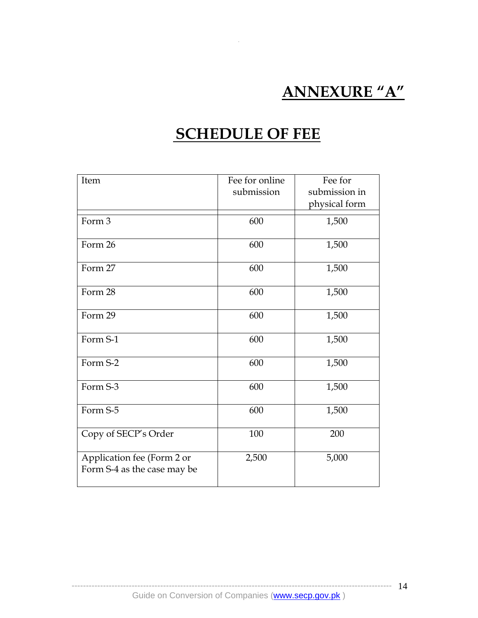# **ANNEXURE "A"**

# **SCHEDULE OF FEE**

.

| Item                                                      | Fee for online<br>submission | Fee for<br>submission in |
|-----------------------------------------------------------|------------------------------|--------------------------|
|                                                           |                              | physical form            |
| Form 3                                                    | 600                          | 1,500                    |
| Form 26                                                   | 600                          | 1,500                    |
| Form 27                                                   | 600                          | 1,500                    |
| Form 28                                                   | 600                          | 1,500                    |
| Form 29                                                   | 600                          | 1,500                    |
| Form S-1                                                  | 600                          | 1,500                    |
| Form S-2                                                  | 600                          | 1,500                    |
| Form S-3                                                  | 600                          | 1,500                    |
| Form S-5                                                  | 600                          | 1,500                    |
| Copy of SECP's Order                                      | 100                          | 200                      |
| Application fee (Form 2 or<br>Form S-4 as the case may be | 2,500                        | 5,000                    |

---------------------------------------------------------------------------------------------------------------- 14